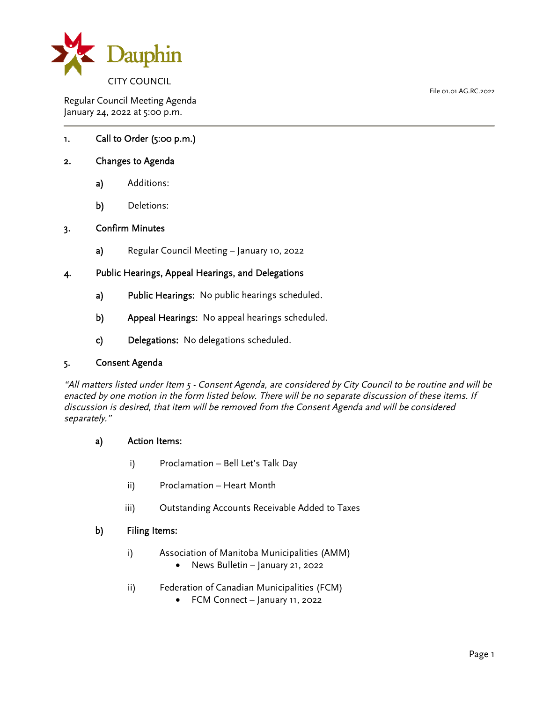

Regular Council Meeting Agenda January 24, 2022 at 5:00 p.m.

# 1. Call to Order (5:00 p.m.)

## 2. Changes to Agenda

- a) Additions:
- b) Deletions:

#### 3. Confirm Minutes

a) Regular Council Meeting – January 10, 2022

## 4. Public Hearings, Appeal Hearings, and Delegations

- a) Public Hearings: No public hearings scheduled.
- b) Appeal Hearings: No appeal hearings scheduled.
- c) Delegations: No delegations scheduled.

#### 5. Consent Agenda

"All matters listed under Item 5 - Consent Agenda, are considered by City Council to be routine and will be enacted by one motion in the form listed below. There will be no separate discussion of these items. If discussion is desired, that item will be removed from the Consent Agenda and will be considered separately."

#### a) Action Items:

- i) Proclamation Bell Let's Talk Day
- ii) Proclamation Heart Month
- iii) Outstanding Accounts Receivable Added to Taxes

## b) Filing Items:

- i) Association of Manitoba Municipalities (AMM)
	- News Bulletin January 21, 2022
- ii) Federation of Canadian Municipalities (FCM)
	- FCM Connect January 11, 2022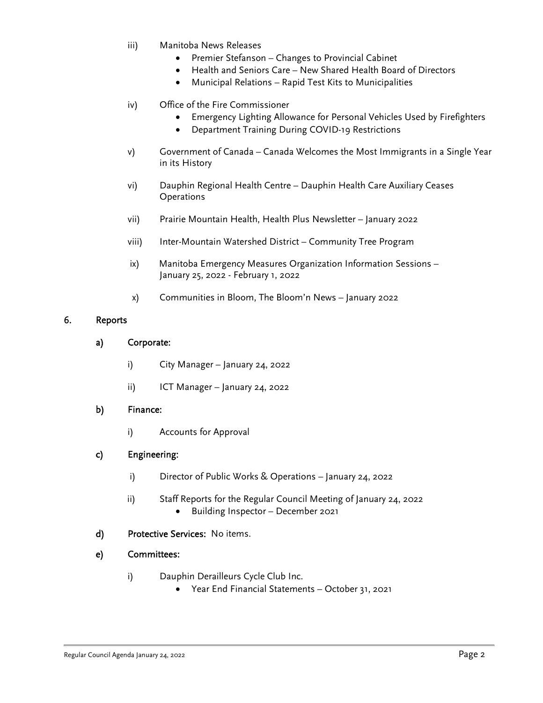- iii) Manitoba News Releases
	- Premier Stefanson Changes to Provincial Cabinet
	- Health and Seniors Care New Shared Health Board of Directors
	- Municipal Relations Rapid Test Kits to Municipalities

# iv) Office of the Fire Commissioner

- Emergency Lighting Allowance for Personal Vehicles Used by Firefighters
- Department Training During COVID-19 Restrictions
- v) Government of Canada Canada Welcomes the Most Immigrants in a Single Year in its History
- vi) Dauphin Regional Health Centre Dauphin Health Care Auxiliary Ceases **Operations**
- vii) Prairie Mountain Health, Health Plus Newsletter January 2022
- viii) Inter-Mountain Watershed District Community Tree Program
- ix) Manitoba Emergency Measures Organization Information Sessions January 25, 2022 - February 1, 2022
- x) Communities in Bloom, The Bloom'n News January 2022

## 6. Reports

# a) Corporate:

- i) City Manager January 24, 2022
- ii) ICT Manager January 24, 2022

# b) Finance:

i) Accounts for Approval

# c) Engineering:

- i) Director of Public Works & Operations January 24, 2022
- ii) Staff Reports for the Regular Council Meeting of January 24, 2022 • Building Inspector – December 2021
- d) Protective Services: No items.

# e) Committees:

- i) Dauphin Derailleurs Cycle Club Inc.
	- Year End Financial Statements October 31, 2021